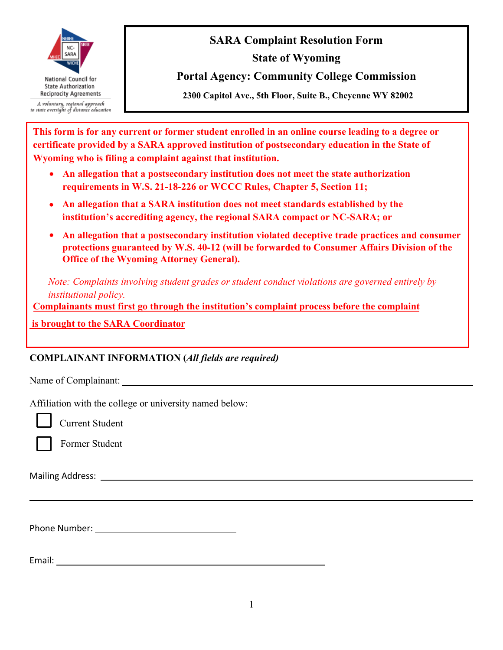

**SARA Complaint Resolution Form State of Wyoming** 

**Portal Agency: Community College Commission**

**2300 Capitol Ave., 5th Floor, Suite B., Cheyenne WY 82002** 

**This form is for any current or former student enrolled in an online course leading to a degree or certificate provided by a SARA approved institution of postsecondary education in the State of Wyoming who is filing a complaint against that institution.**

- **An allegation that a postsecondary institution does not meet the state authorization requirements in W.S. 21-18-226 or WCCC Rules, Chapter 5, Section 11;**
- **An allegation that a SARA institution does not meet standards established by the institution's accrediting agency, the regional SARA compact or NC-SARA; or**
- **An allegation that a postsecondary institution violated deceptive trade practices and consumer protections guaranteed by W.S. 40-12 (will be forwarded to Consumer Affairs Division of the Office of the Wyoming Attorney General).**

*Note: Complaints involving student grades or student conduct violations are governed entirely by institutional policy.* 

**Complainants must first go through the institution's complaint process before the complaint**

 **is brought to the SARA Coordinator**

#### **COMPLAINANT INFORMATION (***All fields are required)*

Name of Complainant:

Affiliation with the college or university named below:

Current Student

Former Student

Mailing Address:

Phone Number:

Email: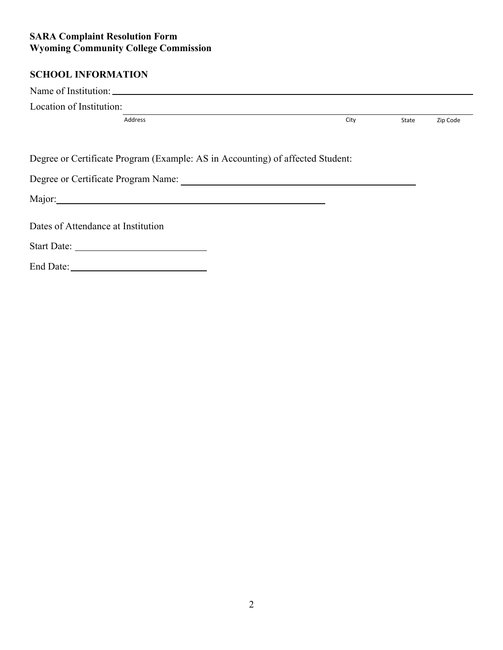# **SCHOOL INFORMATION**

| Location of Institution:                                                       |      |       |          |
|--------------------------------------------------------------------------------|------|-------|----------|
| Address                                                                        | City | State | Zip Code |
|                                                                                |      |       |          |
| Degree or Certificate Program (Example: AS in Accounting) of affected Student: |      |       |          |
|                                                                                |      |       |          |
|                                                                                |      |       |          |
| Dates of Attendance at Institution                                             |      |       |          |
|                                                                                |      |       |          |
|                                                                                |      |       |          |
|                                                                                |      |       |          |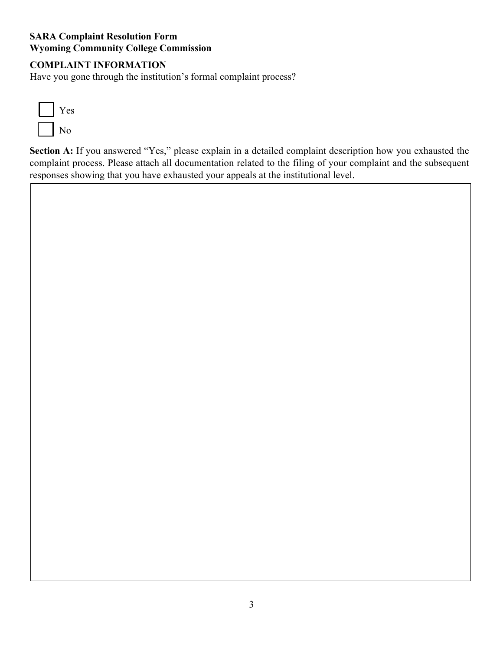### **COMPLAINT INFORMATION**

Have you gone through the institution's formal complaint process?



**Section A:** If you answered "Yes," please explain in a detailed complaint description how you exhausted the complaint process. Please attach all documentation related to the filing of your complaint and the subsequent responses showing that you have exhausted your appeals at the institutional level.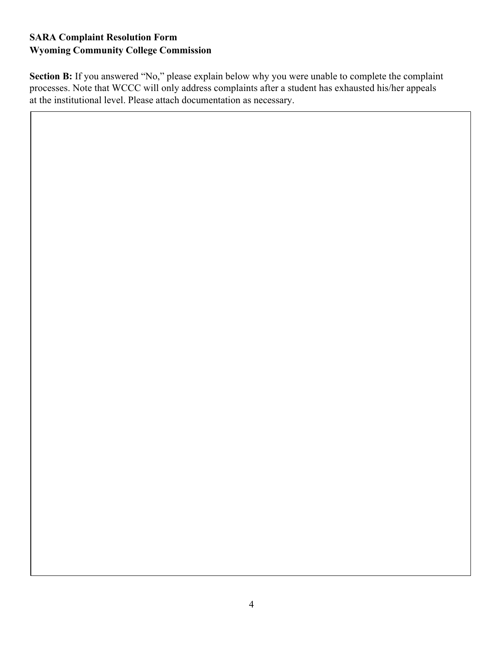**Section B:** If you answered "No," please explain below why you were unable to complete the complaint processes. Note that WCCC will only address complaints after a student has exhausted his/her appeals at the institutional level. Please attach documentation as necessary.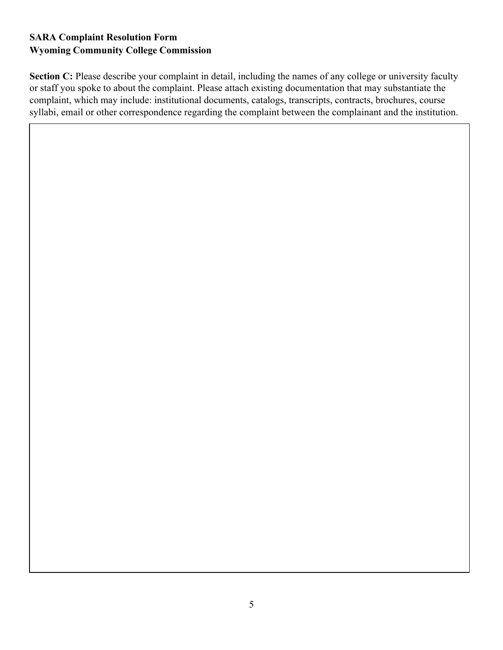**Section C:** Please describe your complaint in detail, including the names of any college or university faculty or staff you spoke to about the complaint. Please attach existing documentation that may substantiate the complaint, which may include: institutional documents, catalogs, transcripts, contracts, brochures, course syllabi, email or other correspondence regarding the complaint between the complainant and the institution.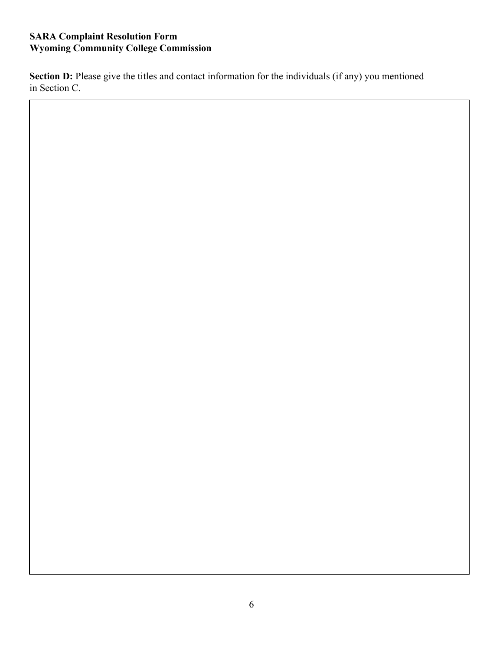**Section D:** Please give the titles and contact information for the individuals (if any) you mentioned in Section C.